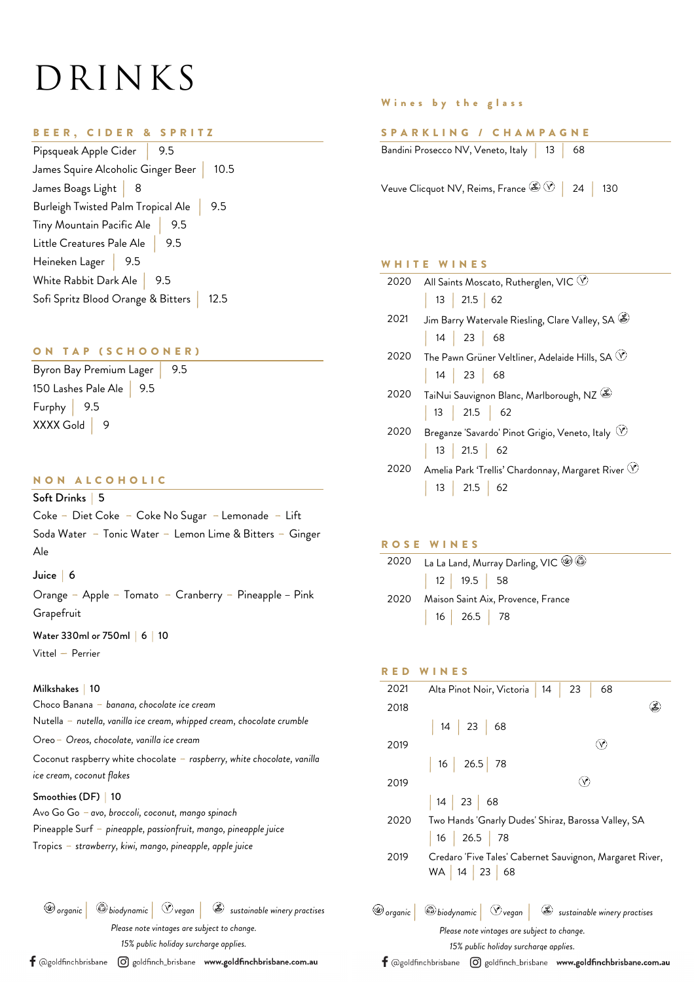# DRINKS

#### BEER, CIDER & SPRITZ

| Pipsqueak Apple Cider                     |     |      |
|-------------------------------------------|-----|------|
| James Squire Alcoholic Ginger Beer   10.5 |     |      |
| James Boags Light <mark> </mark> 8        |     |      |
| Burleigh Twisted Palm Tropical Ale        |     | 9.5  |
| Tiny Mountain Pacific Ale                 | 9.5 |      |
| Little Creatures Pale Ale   9.5           |     |      |
| Heineken Lager   9.5                      |     |      |
| White Rabbit Dark Ale $\ $                | 9.5 |      |
| Sofi Spritz Blood Orange & Bitters        |     | 12.5 |

### ON TAP (SCHOONER)

Byron Bay Premium Lager | 9.5 150 Lashes Pale Ale | 9.5 Furphy | 9.5 XXXX Gold 9

#### NON ALCOHOLIC

Soft Drinks | 5 Coke - Diet Coke - Coke No Sugar - Lemonade - Lift Soda Water - Tonic Water - Lemon Lime & Bitters - Ginger Ale

#### Juice | 6

Orange - Apple - Tomato - Cranberry - Pineapple – Pink **Grapefruit** 

Water 330ml or 750ml | 6 | 10 Vittel – Perrier

#### Milkshakes | 10

Choco Banana - *banana, chocolate ice cream* Nutella - *nutella, vanilla ice cream, whipped cream, chocolate crumble* Oreo- *Oreos, chocolate, vanilla ice cream* Coconut raspberry white chocolate - *raspberry, white chocolate, vanilla ice cream, coconut flakes*

#### Smoothies (DF) | 10

Tropics - *strawberry, kiwi, mango, pineapple, apple juice* Avo Go Go - *avo, broccoli, coconut, mango spinach* Pineapple Surf - *pineapple, passionfruit, mango, pineapple juice*

*organic* | *biodynamic* | *vegan* | *sustainable winery practises*

*Please note vintages are subject to change.*

*15% public holiday surcharge applies.*

 $\textsf{f}$  @goldfinchbrisbane  $\hspace{0.1 cm}$  @ goldfinch\_brisbane www.goldfinchbrisbane.com.au

#### Wines by the glass

#### SPARKLING / CHAMPAGNE

| Bandini Prosecco NV, Veneto, Italy 13 68 |  |  |  |
|------------------------------------------|--|--|--|
|------------------------------------------|--|--|--|

Veuve Clicquot NV, Reims, France  $\&\circledR$  | 24 | 130

#### WHITE WINES

| 2020 | All Saints Moscato, Rutherglen, VIC $\circledcirc$            |
|------|---------------------------------------------------------------|
|      | 13   21.5   62                                                |
| 2021 | Jim Barry Watervale Riesling, Clare Valley, SA $\circledast$  |
|      | $\begin{array}{ c c c c c } \hline \end{array}$ 14 23 68      |
| 2020 | The Pawn Grüner Veltliner, Adelaide Hills, SA $\heartsuit$    |
|      | 14   23   68                                                  |
| 2020 | TaiNui Sauvignon Blanc, Marlborough, NZ                       |
|      | 13   21.5   62                                                |
| 2020 | Breganze 'Savardo' Pinot Grigio, Veneto, Italy $\heartsuit$   |
|      | 13   21.5   62                                                |
| 2020 | Amelia Park 'Trellis' Chardonnay, Margaret River $\heartsuit$ |
|      | 13   21.5   62                                                |

#### ROSE WINES

| 2020 | La La Land, Murray Darling, VIC $\circledast \circledast$ |                                    |  |
|------|-----------------------------------------------------------|------------------------------------|--|
|      | 12   19.5   58                                            |                                    |  |
| 2020 |                                                           | Maison Saint Aix, Provence, France |  |
|      | 16   26.5   78                                            |                                    |  |

# RED WINES 2021 Alta Pinot Noir, Victoria | 14 | 23 | 68  $\circledB$ 2018 | 14 | 23 | 68  $\circledcirc$ 2019 | 16 | 26.5 | 78  $\circledcirc$ 2019 | 14 | 23 | 68 2020 Two Hands 'Gnarly Dudes' Shiraz, Barossa Valley, SA | 16 | 26.5 | 78 2019 Credaro 'Five Tales' Cabernet Sauvignon, Margaret River, WA | 14 | 23 | 68 *organic* | *biodynamic* | *vegan* | *sustainable winery practises Please note vintages are subject to change. 15% public holiday surcharge applies.*  $f$  @goldfinchbrisbane  $\Theta$  goldfinch\_brisbane www.goldfinchbrisbane.com.au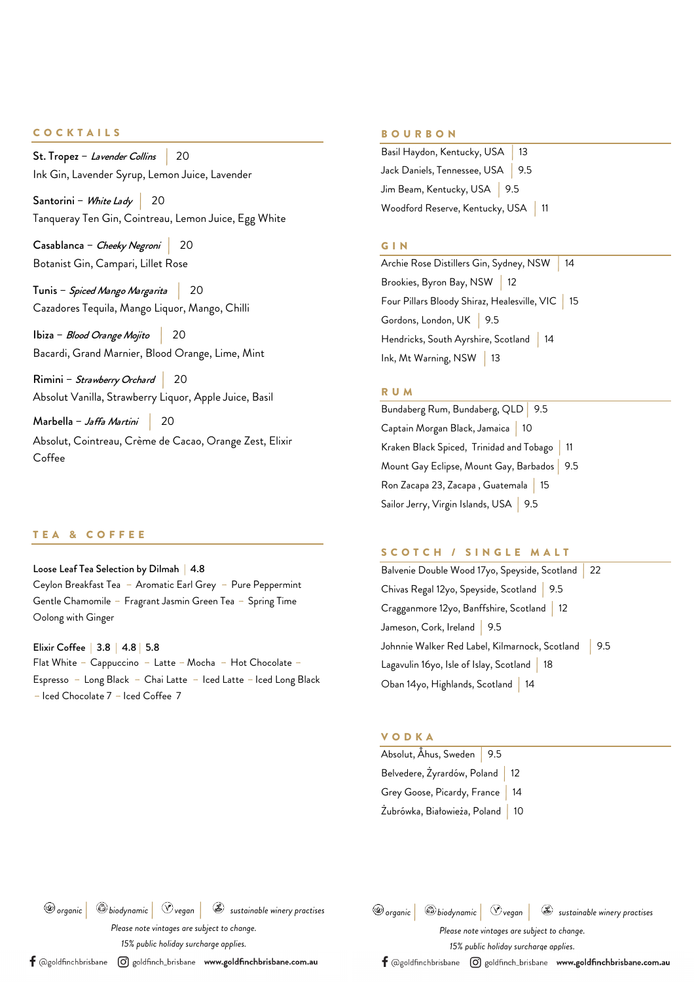#### COCKTAILS

St. Tropez – Lavender Collins | 20 Ink Gin, Lavender Syrup, Lemon Juice, Lavender

Santorini – White Lady 20 Tanqueray Ten Gin, Cointreau, Lemon Juice, Egg White

Casablanca – Cheeky Negroni | 20 Botanist Gin, Campari, Lillet Rose

Tunis – Spiced Mango Margarita | 20 Cazadores Tequila, Mango Liquor, Mango, Chilli

Ibiza – Blood Orange Mojito | 20 Bacardi, Grand Marnier, Blood Orange, Lime, Mint

Rimini – Strawberry Orchard | 20 Absolut Vanilla, Strawberry Liquor, Apple Juice, Basil

Marbella – Jaffa Martini | 20

Absolut, Cointreau, Crème de Cacao, Orange Zest, Elixir Coffee

#### TEA & COFFEE

Loose Leaf Tea Selection by Dilmah | 4.8 Ceylon Breakfast Tea - Aromatic Earl Grey - Pure Peppermint Gentle Chamomile - Fragrant Jasmin Green Tea - Spring Time Oolong with Ginger

Elixir Coffee | 3.8 | 4.8 | 5.8 Flat White - Cappuccino - Latte - Mocha - Hot Chocolate -Espresso - Long Black - Chai Latte - Iced Latte - Iced Long Black - Iced Chocolate 7 - Iced Coffee 7

#### BOURBON

Basil Haydon, Kentucky, USA | 13 Jack Daniels, Tennessee, USA | 9.5 Jim Beam, Kentucky, USA | 9.5 Woodford Reserve, Kentucky, USA | 11

#### GIN

Archie Rose Distillers Gin, Sydney, NSW | 14 Brookies, Byron Bay, NSW | 12 Four Pillars Bloody Shiraz, Healesville, VIC | 15 Gordons, London, UK | 9.5 Hendricks, South Ayrshire, Scotland | 14 Ink, Mt Warning, NSW | 13

#### RUM

Bundaberg Rum, Bundaberg, QLD | 9.5 Captain Morgan Black, Jamaica | 10 Kraken Black Spiced, Trinidad and Tobago | 11 Mount Gay Eclipse, Mount Gay, Barbados | 9.5 Ron Zacapa 23, Zacapa , Guatemala | 15 Sailor Jerry, Virgin Islands, USA | 9.5

#### SCOTCH / SINGLE MALT

Balvenie Double Wood 17yo, Speyside, Scotland | 22 Chivas Regal 12yo, Speyside, Scotland | 9.5 Cragganmore 12yo, Banffshire, Scotland | 12 Jameson, Cork, Ireland | 9.5 Johnnie Walker Red Label, Kilmarnock, Scotland | 9.5 Lagavulin 16yo, Isle of Islay, Scotland | 18 Oban 14yo, Highlands, Scotland | 14

#### VODKA

| Absolut, Ahus, Sweden   9.5       |  |  |
|-----------------------------------|--|--|
| Belvedere, Żyrardów, Poland   12  |  |  |
| Grey Goose, Picardy, France   14  |  |  |
| Żubrówka, Białowieża, Poland   10 |  |  |

*organic* | *biodynamic* | *vegan* | *sustainable winery practises*

*Please note vintages are subject to change.*

*15% public holiday surcharge applies.*

 $\textsf{f}$  @goldfinchbrisbane  $\hspace{0.1 cm}$  @ goldfinch\_brisbane www.goldfinchbrisbane.com.au

| $\circledast$ organic $\circledast$ biodynamic $\circledast$ $\circledast$ vegan |                                             | sustainable winery practises |
|----------------------------------------------------------------------------------|---------------------------------------------|------------------------------|
|                                                                                  | Please note vintages are subject to change. |                              |

*15% public holiday surcharge applies.*

 $\textsf{f}$  @goldfinchbrisbane  $\hspace{0.1 cm}$  @ goldfinch\_brisbane www.goldfinchbrisbane.com.au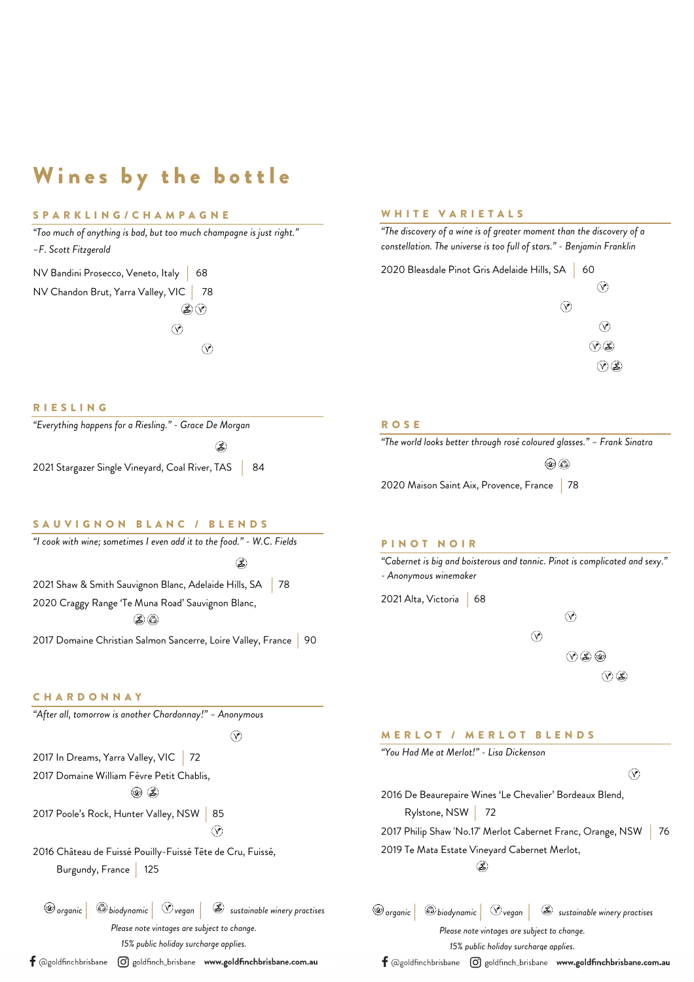# Wines by the bottle

## SPARKLING/CHAMPAGNE

*"Too much of anything is bad, but too much champagne is just right." –F. Scott Fitzgerald*

NV Bandini Prosecco, Veneto, Italy | 68 NV Chandon Brut, Yarra Valley, VIC | 78  $\circledast$ 

RIESLING

 $\circledcirc$  $\circledcirc$ 

 $\circledB$ 

#### WHITE VARIETALS

*"The discovery of a wine is of greater moment than the discovery of a constellation. The universe is too full of stars." - Benjamin Franklin*



#### ROSE

| "The world looks better through rosé coloured glasses." – Frank Sinatra |  |  |
|-------------------------------------------------------------------------|--|--|
| $\circledcirc$ $\circledcirc$                                           |  |  |
| 2020 Maison Saint Aix, Provence, France 78                              |  |  |

S A U VIGNON BLANC / BLENDS

2021 Stargazer Single Vineyard, Coal River, TAS | 84

*"Everything happens for a Riesling." - Grace De Morgan*

| "I cook with wine; sometimes I even add it to the food." - W.C. Fields |  |
|------------------------------------------------------------------------|--|
| S                                                                      |  |
| 2021 Shaw & Smith Sauvignon Blanc, Adelaide Hills, SA   78             |  |
| 2020 Craggy Range 'Te Muna Road' Sauvignon Blanc,                      |  |
| $\mathcal{L}(\mathcal{E})$                                             |  |
| 2017 Domaine Christian Salmon Sancerre, Loire Valley, France   90      |  |

#### **CHARDONNAY**

*"After all, tomorrow is another Chardonnay!" – Anonymous*

 $\circledcirc$ 

 $\Omega$ 

2017 In Dreams, Yarra Valley, VIC 72 2017 Domaine William Fèvre Petit Chablis,  $\circledcirc$   $\circledast$ 

2017 Poole's Rock, Hunter Valley, NSW | 85

2016 Château de Fuissé Pouilly-Fuissé Tête de Cru, Fuissé, Burgundy, France | 125

*organic* | *biodynamic* | *vegan* | *sustainable winery practises*

*Please note vintages are subject to change.*

*15% public holiday surcharge applies.*

 $\textsf{f}$  @goldfinchbrisbane  $\hspace{0.1 cm}$  @ goldfinch\_brisbane www.goldfinchbrisbane.com.au

#### PINOT NOIR

*"Cabernet is big and boisterous and tannic. Pinot is complicated and sexy." - Anonymous winemaker*

2021 Alta, Victoria | 68

 $\circledcirc$  $\circledcirc$  $O 80$  $\circledR$ 

#### MERLOT / MERLOT BLENDS



*organic* | *biodynamic* | *vegan* | *sustainable winery practises*

*Please note vintages are subject to change.*

*15% public holiday surcharge applies.*

 $\bm{\mathsf{f}}$  @goldfinchbrisbane  $\,\,\odot\,$  goldfinch\_brisbane www.goldfinchbrisbane.com.au